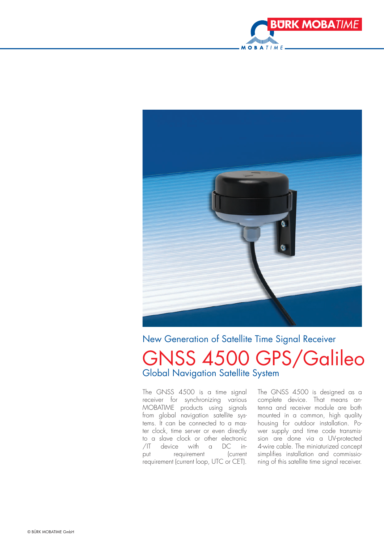



New Generation of Satellite Time Signal Receiver

## GNSS 4500 GPS/Galileo Global Navigation Satellite System

The GNSS 4500 is a time signal receiver for synchronizing various MOBATIME products using signals from global navigation satellite systems. It can be connected to a master clock, time server or even directly to a slave clock or other electronic /IT device with a DC input requirement (current requirement (current loop, UTC or CET).

The GNSS 4500 is designed as a complete device. That means antenna and receiver module are both mounted in a common, high quality housing for outdoor installation. Power supply and time code transmission are done via a UV-protected 4-wire cable. The miniaturized concept simplifies installation and commissioning of this satellite time signal receiver.